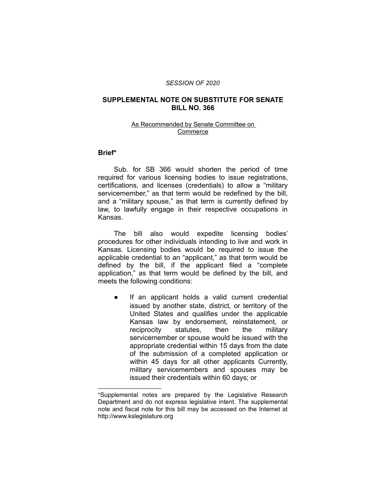#### *SESSION OF 2020*

# **SUPPLEMENTAL NOTE ON SUBSTITUTE FOR SENATE BILL NO. 366**

### As Recommended by Senate Committee on Commerce

## **Brief\***

Sub. for SB 366 would shorten the period of time required for various licensing bodies to issue registrations, certifications, and licenses (credentials) to allow a "military servicemember," as that term would be redefined by the bill, and a "military spouse," as that term is currently defined by law, to lawfully engage in their respective occupations in Kansas.

The bill also would expedite licensing bodies' procedures for other individuals intending to live and work in Kansas. Licensing bodies would be required to issue the applicable credential to an "applicant," as that term would be defined by the bill, if the applicant filed a "complete application," as that term would be defined by the bill, and meets the following conditions:

● If an applicant holds a valid current credential issued by another state, district, or territory of the United States and qualifies under the applicable Kansas law by endorsement, reinstatement, or reciprocity statutes, then the military servicemember or spouse would be issued with the appropriate credential within 15 days from the date of the submission of a completed application or within 45 days for all other applicants Currently, military servicemembers and spouses may be issued their credentials within 60 days; or

 $\overline{\phantom{a}}$  , where  $\overline{\phantom{a}}$  , where  $\overline{\phantom{a}}$ 

<sup>\*</sup>Supplemental notes are prepared by the Legislative Research Department and do not express legislative intent. The supplemental note and fiscal note for this bill may be accessed on the Internet at http://www.kslegislature.org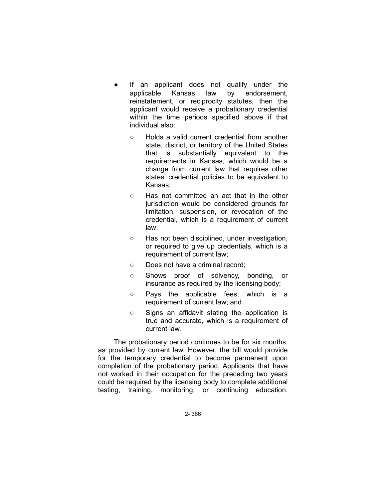- If an applicant does not qualify under the applicable Kansas law by endorsement, reinstatement, or reciprocity statutes, then the applicant would receive a probationary credential within the time periods specified above if that individual also:
	- Holds a valid current credential from another state, district, or territory of the United States that is substantially equivalent to the requirements in Kansas, which would be a change from current law that requires other states' credential policies to be equivalent to Kansas;
	- Has not committed an act that in the other jurisdiction would be considered grounds for limitation, suspension, or revocation of the credential, which is a requirement of current law;
	- Has not been disciplined, under investigation, or required to give up credentials, which is a requirement of current law;
	- Does not have a criminal record;
	- Shows proof of solvency, bonding, or insurance as required by the licensing body;
	- Pays the applicable fees, which is a requirement of current law; and
	- Signs an affidavit stating the application is true and accurate, which is a requirement of current law.

The probationary period continues to be for six months, as provided by current law. However, the bill would provide for the temporary credential to become permanent upon completion of the probationary period. Applicants that have not worked in their occupation for the preceding two years could be required by the licensing body to complete additional testing, training, monitoring, or continuing education.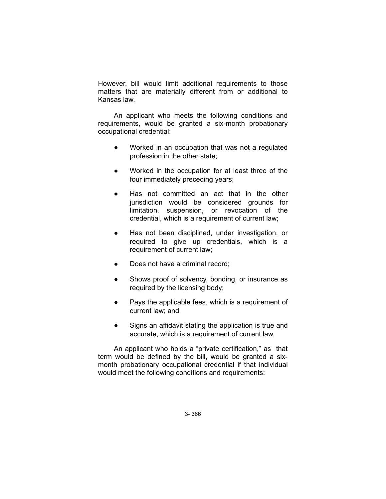However, bill would limit additional requirements to those matters that are materially different from or additional to Kansas law.

An applicant who meets the following conditions and requirements, would be granted a six-month probationary occupational credential:

- Worked in an occupation that was not a regulated profession in the other state;
- Worked in the occupation for at least three of the four immediately preceding years;
- Has not committed an act that in the other jurisdiction would be considered grounds for limitation, suspension, or revocation of the credential, which is a requirement of current law;
- Has not been disciplined, under investigation, or required to give up credentials, which is a requirement of current law;
- Does not have a criminal record;
- Shows proof of solvency, bonding, or insurance as required by the licensing body;
- Pays the applicable fees, which is a requirement of current law; and
- Signs an affidavit stating the application is true and accurate, which is a requirement of current law.

An applicant who holds a "private certification," as that term would be defined by the bill, would be granted a sixmonth probationary occupational credential if that individual would meet the following conditions and requirements: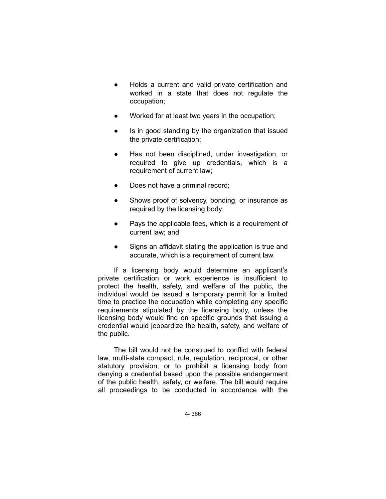- Holds a current and valid private certification and worked in a state that does not regulate the occupation;
- Worked for at least two years in the occupation;
- Is in good standing by the organization that issued the private certification;
- Has not been disciplined, under investigation, or required to give up credentials, which is a requirement of current law;
- Does not have a criminal record;
- Shows proof of solvency, bonding, or insurance as required by the licensing body;
- Pays the applicable fees, which is a requirement of current law; and
- Signs an affidavit stating the application is true and accurate, which is a requirement of current law.

If a licensing body would determine an applicant's private certification or work experience is insufficient to protect the health, safety, and welfare of the public, the individual would be issued a temporary permit for a limited time to practice the occupation while completing any specific requirements stipulated by the licensing body, unless the licensing body would find on specific grounds that issuing a credential would jeopardize the health, safety, and welfare of the public.

The bill would not be construed to conflict with federal law, multi-state compact, rule, regulation, reciprocal, or other statutory provision, or to prohibit a licensing body from denying a credential based upon the possible endangerment of the public health, safety, or welfare. The bill would require all proceedings to be conducted in accordance with the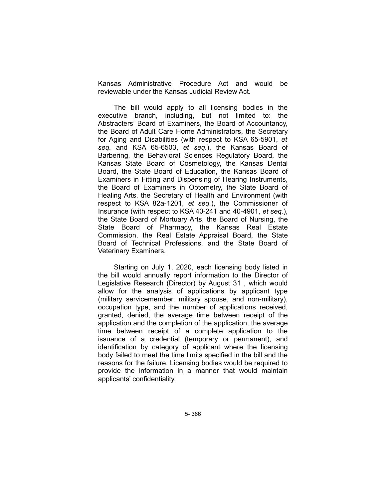Kansas Administrative Procedure Act and would be reviewable under the Kansas Judicial Review Act.

The bill would apply to all licensing bodies in the executive branch, including, but not limited to: the Abstracters' Board of Examiners, the Board of Accountancy, the Board of Adult Care Home Administrators, the Secretary for Aging and Disabilities (with respect to KSA 65-5901, *et seq.* and KSA 65-6503, *et seq.*), the Kansas Board of Barbering, the Behavioral Sciences Regulatory Board, the Kansas State Board of Cosmetology, the Kansas Dental Board, the State Board of Education, the Kansas Board of Examiners in Fitting and Dispensing of Hearing Instruments, the Board of Examiners in Optometry, the State Board of Healing Arts, the Secretary of Health and Environment (with respect to KSA 82a-1201, *et seq.*), the Commissioner of Insurance (with respect to KSA 40-241 and 40-4901, *et seq.*), the State Board of Mortuary Arts, the Board of Nursing, the State Board of Pharmacy, the Kansas Real Estate Commission, the Real Estate Appraisal Board, the State Board of Technical Professions, and the State Board of Veterinary Examiners.

Starting on July 1, 2020, each licensing body listed in the bill would annually report information to the Director of Legislative Research (Director) by August 31 , which would allow for the analysis of applications by applicant type (military servicemember, military spouse, and non-military), occupation type, and the number of applications received, granted, denied, the average time between receipt of the application and the completion of the application, the average time between receipt of a complete application to the issuance of a credential (temporary or permanent), and identification by category of applicant where the licensing body failed to meet the time limits specified in the bill and the reasons for the failure. Licensing bodies would be required to provide the information in a manner that would maintain applicants' confidentiality.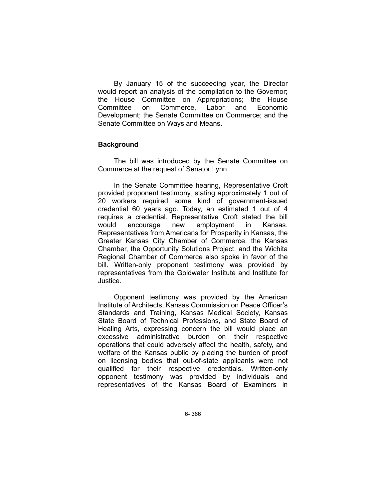By January 15 of the succeeding year, the Director would report an analysis of the compilation to the Governor; the House Committee on Appropriations; the House Committee on Commerce, Labor and Economic Development; the Senate Committee on Commerce; and the Senate Committee on Ways and Means.

### **Background**

The bill was introduced by the Senate Committee on Commerce at the request of Senator Lynn.

In the Senate Committee hearing, Representative Croft provided proponent testimony, stating approximately 1 out of 20 workers required some kind of government-issued credential 60 years ago. Today, an estimated 1 out of 4 requires a credential. Representative Croft stated the bill would encourage new employment in Kansas. Representatives from Americans for Prosperity in Kansas, the Greater Kansas City Chamber of Commerce, the Kansas Chamber, the Opportunity Solutions Project, and the Wichita Regional Chamber of Commerce also spoke in favor of the bill. Written-only proponent testimony was provided by representatives from the Goldwater Institute and Institute for Justice.

Opponent testimony was provided by the American Institute of Architects, Kansas Commission on Peace Officer's Standards and Training, Kansas Medical Society, Kansas State Board of Technical Professions, and State Board of Healing Arts, expressing concern the bill would place an excessive administrative burden on their respective operations that could adversely affect the health, safety, and welfare of the Kansas public by placing the burden of proof on licensing bodies that out-of-state applicants were not qualified for their respective credentials. Written-only opponent testimony was provided by individuals and representatives of the Kansas Board of Examiners in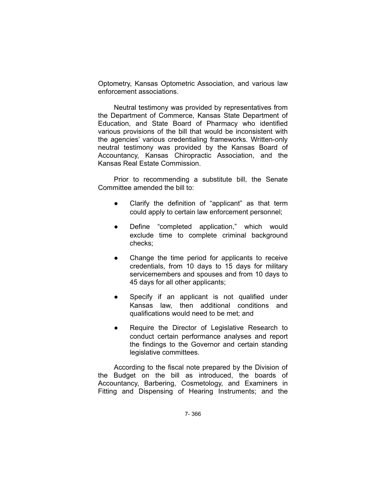Optometry, Kansas Optometric Association, and various law enforcement associations.

Neutral testimony was provided by representatives from the Department of Commerce, Kansas State Department of Education, and State Board of Pharmacy who identified various provisions of the bill that would be inconsistent with the agencies' various credentialing frameworks. Written-only neutral testimony was provided by the Kansas Board of Accountancy, Kansas Chiropractic Association, and the Kansas Real Estate Commission.

Prior to recommending a substitute bill, the Senate Committee amended the bill to:

- Clarify the definition of "applicant" as that term could apply to certain law enforcement personnel;
- Define "completed application," which would exclude time to complete criminal background checks;
- Change the time period for applicants to receive credentials, from 10 days to 15 days for military servicemembers and spouses and from 10 days to 45 days for all other applicants;
- Specify if an applicant is not qualified under Kansas law, then additional conditions and qualifications would need to be met; and
- Require the Director of Legislative Research to conduct certain performance analyses and report the findings to the Governor and certain standing legislative committees.

According to the fiscal note prepared by the Division of the Budget on the bill as introduced, the boards of Accountancy, Barbering, Cosmetology, and Examiners in Fitting and Dispensing of Hearing Instruments; and the